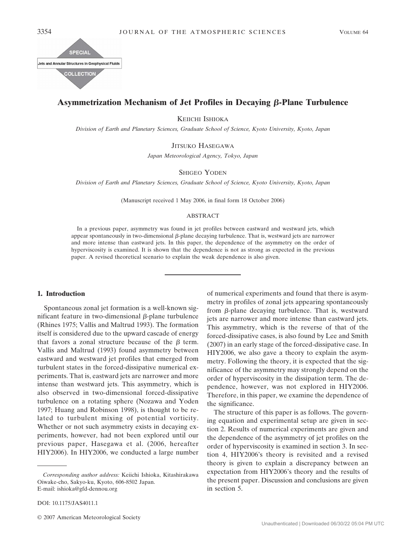

# **Asymmetrization Mechanism of Jet Profiles in Decaying β-Plane Turbulence**

KEIICHI ISHIOKA

*Division of Earth and Planetary Sciences, Graduate School of Science, Kyoto University, Kyoto, Japan*

JITSUKO HASEGAWA

*Japan Meteorological Agency, Tokyo, Japan*

SHIGEO YODEN

*Division of Earth and Planetary Sciences, Graduate School of Science, Kyoto University, Kyoto, Japan*

(Manuscript received 1 May 2006, in final form 18 October 2006)

## ABSTRACT

In a previous paper, asymmetry was found in jet profiles between eastward and westward jets, which appear spontaneously in two-dimensional  $\beta$ -plane decaying turbulence. That is, westward jets are narrower and more intense than eastward jets. In this paper, the dependence of the asymmetry on the order of hyperviscosity is examined. It is shown that the dependence is not as strong as expected in the previous paper. A revised theoretical scenario to explain the weak dependence is also given.

## **1. Introduction**

Spontaneous zonal jet formation is a well-known significant feature in two-dimensional  $\beta$ -plane turbulence (Rhines 1975; Vallis and Maltrud 1993). The formation itself is considered due to the upward cascade of energy that favors a zonal structure because of the  $\beta$  term. Vallis and Maltrud (1993) found asymmetry between eastward and westward jet profiles that emerged from turbulent states in the forced-dissipative numerical experiments. That is, eastward jets are narrower and more intense than westward jets. This asymmetry, which is also observed in two-dimensional forced-dissipative turbulence on a rotating sphere (Nozawa and Yoden 1997; Huang and Robinson 1998), is thought to be related to turbulent mixing of potential vorticity. Whether or not such asymmetry exists in decaying experiments, however, had not been explored until our previous paper, Hasegawa et al. (2006, hereafter HIY2006). In HIY2006, we conducted a large number

DOI: 10.1175/JAS4011.1

of numerical experiments and found that there is asymmetry in profiles of zonal jets appearing spontaneously from  $\beta$ -plane decaying turbulence. That is, westward jets are narrower and more intense than eastward jets. This asymmetry, which is the reverse of that of the forced-dissipative cases, is also found by Lee and Smith (2007) in an early stage of the forced-dissipative case. In HIY2006, we also gave a theory to explain the asymmetry. Following the theory, it is expected that the significance of the asymmetry may strongly depend on the order of hyperviscosity in the dissipation term. The dependence, however, was not explored in HIY2006. Therefore, in this paper, we examine the dependence of the significance.

The structure of this paper is as follows. The governing equation and experimental setup are given in section 2. Results of numerical experiments are given and the dependence of the asymmetry of jet profiles on the order of hyperviscosity is examined in section 3. In section 4, HIY2006's theory is revisited and a revised theory is given to explain a discrepancy between an expectation from HIY2006's theory and the results of the present paper. Discussion and conclusions are given in section 5.

*Corresponding author address:* Keiichi Ishioka, Kitashirakawa Oiwake-cho, Sakyo-ku, Kyoto, 606-8502 Japan. E-mail: ishioka@gfd-dennou.org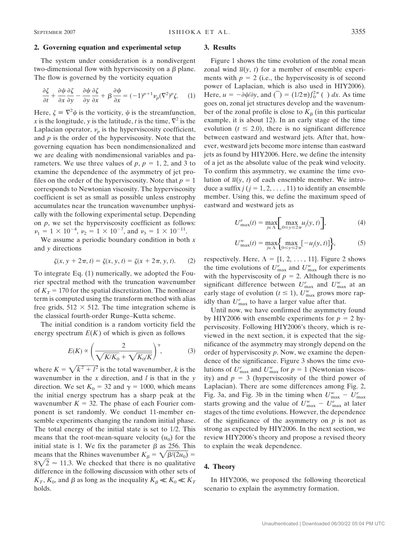## **2. Governing equation and experimental setup**

The system under consideration is a nondivergent two-dimensional flow with hyperviscosity on a  $\beta$  plane. The flow is governed by the vorticity equation

$$
\frac{\partial \zeta}{\partial t} + \frac{\partial \psi}{\partial x} \frac{\partial \zeta}{\partial y} - \frac{\partial \psi}{\partial y} \frac{\partial \zeta}{\partial x} + \beta \frac{\partial \psi}{\partial x} = (-1)^{p+1} \nu_p (\nabla^2)^p \zeta. \tag{1}
$$

Here,  $\zeta = \nabla^2 \psi$  is the vorticity,  $\psi$  is the streamfunction, *x* is the longitude, *y* is the latitude, *t* is the time,  $\nabla^2$  is the Laplacian operator,  $\nu_p$  is the hyperviscosity coefficient, and *p* is the order of the hyperviscosity. Note that the governing equation has been nondimensionalized and we are dealing with nondimensional variables and parameters. We use three values of  $p$ ,  $p = 1, 2$ , and 3 to examine the dependence of the asymmetry of jet profiles on the order of the hyperviscosity. Note that  $p = 1$ corresponds to Newtonian viscosity. The hyperviscosity coefficient is set as small as possible unless enstrophy accumulates near the truncation wavenumber unphysically with the following experimental setup. Depending on *p*, we set the hyperviscosity coefficient as follows:  $\nu_1 = 1 \times 10^{-4}$ ,  $\nu_2 = 1 \times 10^{-7}$ , and  $\nu_3 = 1 \times 10^{-11}$ .

We assume a periodic boundary condition in both *x* and *y* directions

$$
\zeta(x, y + 2\pi, t) = \zeta(x, y, t) = \zeta(x + 2\pi, y, t). \tag{2}
$$

To integrate Eq. (1) numerically, we adopted the Fourier spectral method with the truncation wavenumber of  $K_T$  = 170 for the spatial discretization. The nonlinear term is computed using the transform method with alias free grids,  $512 \times 512$ . The time integration scheme is the classical fourth-order Runge–Kutta scheme.

The initial condition is a random vorticity field the energy spectrum  $E(K)$  of which is given as follows

$$
E(K) \propto \left(\frac{2}{\sqrt{K/K_0} + \sqrt{K_0/K}}\right)^{\gamma},\tag{3}
$$

where  $K = \sqrt{k^2 + l^2}$  is the total wavenumber, *k* is the wavenumber in the *x* direction, and *l* is that in the *y* direction. We set  $K_0 = 32$  and  $\gamma = 1000$ , which means the initial energy spectrum has a sharp peak at the wavenumber  $K = 32$ . The phase of each Fourier component is set randomly. We conduct 11-member ensemble experiments changing the random initial phase. The total energy of the initial state is set to 1/2. This means that the root-mean-square velocity  $(u_0)$  for the initial state is 1. We fix the parameter  $\beta$  as 256. This means that the Rhines wavenumber  $K_{\beta} = \sqrt{\beta/(2u_0)}$  $8\sqrt{2} \approx 11.3$ . We checked that there is no qualitative difference in the following discussion with other sets of  $K_T$ ,  $K_0$ , and  $\beta$  as long as the inequality  $K_\beta \ll K_0 \ll K_T$ holds.

#### **3. Results**

Figure 1 shows the time evolution of the zonal mean zonal wind  $\overline{u}(y, t)$  for a member of ensemble experiments with  $p = 2$  (i.e., the hyperviscosity is of second power of Laplacian, which is also used in HIY2006). Here,  $u = -\partial \psi / \partial y$ , and  $\overline{()} = (1/2\pi) \int_0^{2\pi} ( ) dx$ . As time goes on, zonal jet structures develop and the wavenumber of the zonal profile is close to  $K_\beta$  (in this particular example, it is about 12). In an early stage of the time evolution  $(t \leq 2.0)$ , there is no significant difference between eastward and westward jets. After that, however, westward jets become more intense than eastward jets as found by HIY2006. Here, we define the intensity of a jet as the absolute value of the peak wind velocity. To confirm this asymmetry, we examine the time evolution of  $\overline{u}(y, t)$  of each ensemble member. We introduce a suffix  $j$  ( $j = 1, 2, \ldots, 11$ ) to identify an ensemble member. Using this, we define the maximum speed of eastward and westward jets as

$$
U_{\max}^e(t) = \max_{j \in \Lambda} \left[ \max_{0 \le y \le 2\pi} u_j(y, t) \right],\tag{4}
$$

$$
U_{\max}^w(t) = \max_{j \in \Lambda} \left\{ \max_{0 \le y \le 2\pi} [-u_j(y, t)] \right\},\tag{5}
$$

respectively. Here,  $\Lambda = \{1, 2, \ldots, 11\}$ . Figure 2 shows the time evolutions of  $U_{\text{max}}^e$  and  $U_{\text{max}}^w$  for experiments with the hyperviscosity of  $p = 2$ . Although there is no significant difference between  $U_{\text{max}}^e$  and  $U_{\text{max}}^w$  at an early stage of evolution ( $t \le 1$ ),  $U_{\text{max}}^w$  grows more rapidly than  $U_{\text{max}}^e$  to have a larger value after that.

Until now, we have confirmed the asymmetry found by HIY2006 with ensemble experiments for  $p = 2$  hyperviscosity. Following HIY2006's theory, which is reviewed in the next section, it is expected that the significance of the asymmetry may strongly depend on the order of hyperviscosity *p*. Now, we examine the dependence of the significance. Figure 3 shows the time evolutions of  $U_{\text{max}}^e$  and  $U_{\text{max}}^w$  for  $p = 1$  (Newtonian viscosity) and  $p = 3$  (hyperviscosity of the third power of Laplacian). There are some differences among Fig. 2, Fig. 3a, and Fig. 3b in the timing when  $U_{\text{max}}^{\nu} - U_{\text{max}}^e$ starts growing and the value of  $U_{\text{max}}^w - U_{\text{max}}^e$  at later stages of the time evolutions. However, the dependence of the significance of the asymmetry on  $p$  is not as strong as expected by HIY2006. In the next section, we review HIY2006's theory and propose a revised theory to explain the weak dependence.

## **4. Theory**

In HIY2006, we proposed the following theoretical scenario to explain the asymmetry formation.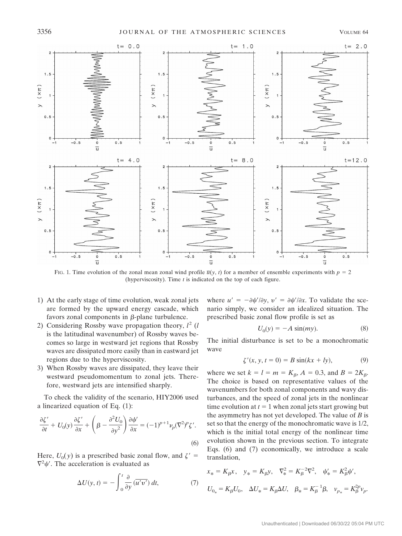

FIG. 1. Time evolution of the zonal mean zonal wind profile  $\overline{u}(y, t)$  for a member of ensemble experiments with  $p = 2$ (hyperviscosity). Time *t* is indicated on the top of each figure.

- 1) At the early stage of time evolution, weak zonal jets are formed by the upward energy cascade, which favors zonal components in  $\beta$ -plane turbulence.
- 2) Considering Rossby wave propagation theory, *l* <sup>2</sup> (*l* is the latitudinal wavenumber) of Rossby waves becomes so large in westward jet regions that Rossby waves are dissipated more easily than in eastward jet regions due to the hyperviscosity.
- 3) When Rossby waves are dissipated, they leave their westward pseudomomentum to zonal jets. Therefore, westward jets are intensified sharply.

To check the validity of the scenario, HIY2006 used a linearized equation of Eq. (1):

$$
\frac{\partial \zeta'}{\partial t} + U_0(y) \frac{\partial \zeta'}{\partial x} + \left( \beta - \frac{\partial^2 U_0}{\partial y^2} \right) \frac{\partial \psi'}{\partial x} = (-1)^{p+1} \nu_p (\nabla^2)^p \zeta'.
$$
\n(6)

Here,  $U_0(y)$  is a prescribed basic zonal flow, and  $\zeta'$  =  $\nabla^2 \psi'$ . The acceleration is evaluated as

$$
\Delta U(y, t) = -\int_0^t \frac{\partial}{\partial y} \left( \overline{u'v'} \right) dt, \tag{7}
$$

where  $u' = -\partial \psi' / \partial y$ ,  $v' = \partial \psi' / \partial x$ . To validate the scenario simply, we consider an idealized situation. The prescribed basic zonal flow profile is set as

$$
U_0(y) = -A \sin(my). \tag{8}
$$

The initial disturbance is set to be a monochromatic wave

$$
\zeta'(x, y, t = 0) = B \sin(kx + ly), \tag{9}
$$

where we set  $k = l = m = K_{\beta}, A = 0.3$ , and  $B = 2K_{\beta}$ . The choice is based on representative values of the wavenumbers for both zonal components and wavy disturbances, and the speed of zonal jets in the nonlinear time evolution at  $t = 1$  when zonal jets start growing but the asymmetry has not yet developed. The value of *B* is set so that the energy of the monochromatic wave is 1/2, which is the initial total energy of the nonlinear time evolution shown in the previous section. To integrate Eqs. (6) and (7) economically, we introduce a scale translation,

$$
x_* = K_{\beta} x, \quad y_* = K_{\beta} y, \quad \nabla_x^2 = K_{\beta}^{-2} \nabla^2, \quad \psi'_* = K_{\beta}^2 \psi',
$$
  

$$
U_{0_*} = K_{\beta} U_0, \quad \Delta U_* = K_{\beta} \Delta U, \quad \beta_* = K_{\beta}^{-1} \beta, \quad \nu_{p_*} = K_{\beta}^{2p} \nu_p.
$$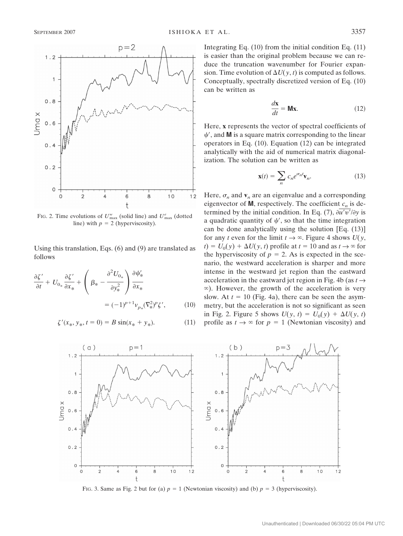

FIG. 2. Time evolutions of  $U_{\text{max}}^w$  (solid line) and  $U_{\text{max}}^e$  (dotted line) with  $p = 2$  (hyperviscosity).

Using this translation, Eqs. (6) and (9) are translated as follows

$$
\frac{\partial \zeta'}{\partial t} + U_{0_*} \frac{\partial \zeta'}{\partial x_*} + \left( \beta_* - \frac{\partial^2 U_{0_*}}{\partial y_*^2} \right) \frac{\partial \psi'_*}{\partial x_*}
$$

$$
= (-1)^{p+1} v_{p_*} (\nabla^2 \zeta') g', \qquad (10)
$$

$$
\zeta'(x_*, y_*, t = 0) = B \sin(x_* + y_*). \tag{11}
$$

Integrating Eq. (10) from the initial condition Eq. (11) is easier than the original problem because we can reduce the truncation wavenumber for Fourier expansion. Time evolution of  $\Delta U(y, t)$  is computed as follows. Conceptually, spectrally discretized version of Eq. (10) can be written as

$$
\frac{d\mathbf{x}}{dt} = \mathbf{M}\mathbf{x}.\tag{12}
$$

Here, **x** represents the vector of spectral coefficients of  $\psi'$ , and **M** is a square matrix corresponding to the linear operators in Eq. (10). Equation (12) can be integrated analytically with the aid of numerical matrix diagonalization. The solution can be written as

$$
\mathbf{x}(t) = \sum_{n} c_n e^{\sigma_n t} \mathbf{v}_n.
$$
 (13)

Here,  $\sigma_n$  and  $\mathbf{v}_n$  are an eigenvalue and a corresponding eigenvector of **M**, respectively. The coefficient  $c_n$  is determined by the initial condition. In Eq. (7),  $\frac{\partial u'v'}{\partial y}$  is a quadratic quantity of  $\psi'$ , so that the time integration can be done analytically using the solution [Eq. (13)] for any *t* even for the limit  $t \to \infty$ . Figure 4 shows  $U(y,$  $y(t) = U_0(y) + \Delta U(y, t)$  profile at  $t = 10$  and as  $t \to \infty$  for the hyperviscosity of  $p = 2$ . As is expected in the scenario, the westward acceleration is sharper and more intense in the westward jet region than the eastward acceleration in the eastward jet region in Fig. 4b (as  $t \rightarrow$  $\infty$ ). However, the growth of the acceleration is very slow. At  $t = 10$  (Fig. 4a), there can be seen the asymmetry, but the acceleration is not so significant as seen in Fig. 2. Figure 5 shows  $U(y, t) = U_0(y) + \Delta U(y, t)$ profile as  $t \to \infty$  for  $p = 1$  (Newtonian viscosity) and



FIG. 3. Same as Fig. 2 but for (a)  $p = 1$  (Newtonian viscosity) and (b)  $p = 3$  (hyperviscosity).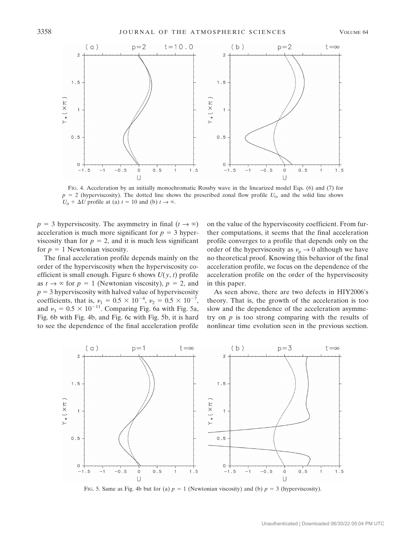

FIG. 4. Acceleration by an initially monochromatic Rossby wave in the linearized model Eqs. (6) and (7) for  $p = 2$  (hyperviscosity). The dotted line shows the prescribed zonal flow profile  $U_0$ , and the solid line shows  $U_0 + \Delta U$  profile at (a)  $t = 10$  and (b)  $t \to \infty$ .

 $p = 3$  hyperviscosity. The asymmetry in final  $(t \rightarrow \infty)$ acceleration is much more significant for  $p = 3$  hyperviscosity than for  $p = 2$ , and it is much less significant for  $p = 1$  Newtonian viscosity.

The final acceleration profile depends mainly on the order of the hyperviscosity when the hyperviscosity coefficient is small enough. Figure 6 shows *U*(*y*, *t*) profile as  $t \to \infty$  for  $p = 1$  (Newtonian viscosity),  $p = 2$ , and  $p = 3$  hyperviscosity with halved value of hyperviscosity coefficients, that is,  $\nu_1 = 0.5 \times 10^{-4}$ ,  $\nu_2 = 0.5 \times 10^{-7}$ , and  $v_3 = 0.5 \times 10^{-11}$ . Comparing Fig. 6a with Fig. 5a, Fig. 6b with Fig. 4b, and Fig. 6c with Fig. 5b, it is hard to see the dependence of the final acceleration profile on the value of the hyperviscosity coefficient. From further computations, it seems that the final acceleration profile converges to a profile that depends only on the order of the hyperviscosity as  $v_p \to 0$  although we have no theoretical proof. Knowing this behavior of the final acceleration profile, we focus on the dependence of the acceleration profile on the order of the hyperviscosity in this paper.

As seen above, there are two defects in HIY2006's theory. That is, the growth of the acceleration is too slow and the dependence of the acceleration asymmetry on *p* is too strong comparing with the results of nonlinear time evolution seen in the previous section.



FIG. 5. Same as Fig. 4b but for (a)  $p = 1$  (Newtonian viscosity) and (b)  $p = 3$  (hyperviscosity).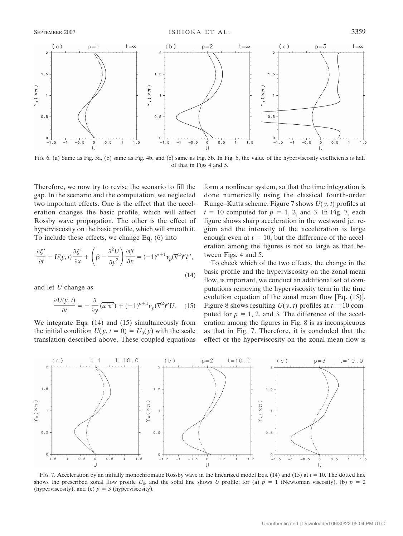

FIG. 6. (a) Same as Fig. 5a, (b) same as Fig. 4b, and (c) same as Fig. 5b. In Fig. 6, the value of the hyperviscosity coefficients is half of that in Figs 4 and 5.

Therefore, we now try to revise the scenario to fill the gap. In the scenario and the computation, we neglected two important effects. One is the effect that the acceleration changes the basic profile, which will affect Rossby wave propagation. The other is the effect of hyperviscosity on the basic profile, which will smooth it. To include these effects, we change Eq. (6) into

$$
\frac{\partial \zeta'}{\partial t} + U(y, t) \frac{\partial \zeta'}{\partial x} + \left( \beta - \frac{\partial^2 U}{\partial y^2} \right) \frac{\partial \psi'}{\partial x} = (-1)^{p+1} \nu_p (\nabla^2)^p \zeta',\tag{14}
$$

and let *U* change as

$$
\frac{\partial U(y,t)}{\partial t} = -\frac{\partial}{\partial y} \left( \overline{u'v'} \right) + (-1)^{p+1} v_p (\nabla^2)^p U. \tag{15}
$$

We integrate Eqs. (14) and (15) simultaneously from the initial condition  $U(y, t = 0) = U_0(y)$  with the scale translation described above. These coupled equations form a nonlinear system, so that the time integration is done numerically using the classical fourth-order Runge–Kutta scheme. Figure 7 shows *U*(*y*, *t*) profiles at  $t = 10$  computed for  $p = 1, 2$ , and 3. In Fig. 7, each figure shows sharp acceleration in the westward jet region and the intensity of the acceleration is large enough even at  $t = 10$ , but the difference of the acceleration among the figures is not so large as that between Figs. 4 and 5.

To check which of the two effects, the change in the basic profile and the hyperviscosity on the zonal mean flow, is important, we conduct an additional set of computations removing the hyperviscosity term in the time evolution equation of the zonal mean flow [Eq. (15)]. Figure 8 shows resulting  $U(y, t)$  profiles at  $t = 10$  computed for  $p = 1, 2$ , and 3. The difference of the acceleration among the figures in Fig. 8 is as inconspicuous as that in Fig. 7. Therefore, it is concluded that the effect of the hyperviscosity on the zonal mean flow is



FIG. 7. Acceleration by an initially monochromatic Rossby wave in the linearized model Eqs. (14) and (15) at  $t = 10$ . The dotted line shows the prescribed zonal flow profile  $U_0$ , and the solid line shows *U* profile; for (a)  $p = 1$  (Newtonian viscosity), (b)  $p = 2$ (hyperviscosity), and (c)  $p = 3$  (hyperviscosity).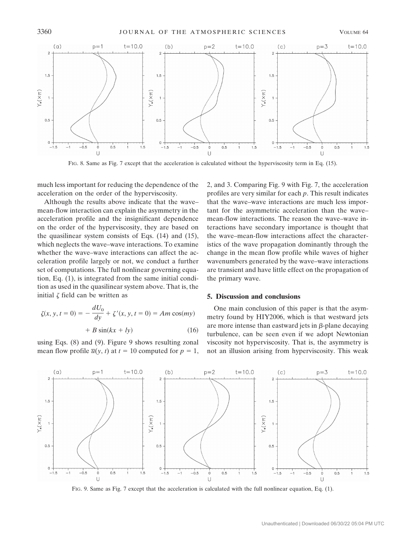

FIG. 8. Same as Fig. 7 except that the acceleration is calculated without the hyperviscosity term in Eq. (15).

much less important for reducing the dependence of the acceleration on the order of the hyperviscosity.

Although the results above indicate that the wave– mean-flow interaction can explain the asymmetry in the acceleration profile and the insignificant dependence on the order of the hyperviscosity, they are based on the quasilinear system consists of Eqs. (14) and (15), which neglects the wave–wave interactions. To examine whether the wave–wave interactions can affect the acceleration profile largely or not, we conduct a further set of computations. The full nonlinear governing equation, Eq. (1), is integrated from the same initial condition as used in the quasilinear system above. That is, the initial  $\zeta$  field can be written as

$$
\zeta(x, y, t = 0) = -\frac{dU_0}{dy} + \zeta'(x, y, t = 0) = Am\cos(my) + B\sin(kx + ly)
$$
 (16)

using Eqs. (8) and (9). Figure 9 shows resulting zonal mean flow profile  $\overline{u}(y, t)$  at  $t = 10$  computed for  $p = 1$ , 2, and 3. Comparing Fig. 9 with Fig. 7, the acceleration profiles are very similar for each *p*. This result indicates that the wave–wave interactions are much less important for the asymmetric acceleration than the wave– mean-flow interactions. The reason the wave–wave interactions have secondary importance is thought that the wave–mean-flow interactions affect the characteristics of the wave propagation dominantly through the change in the mean flow profile while waves of higher wavenumbers generated by the wave–wave interactions are transient and have little effect on the propagation of the primary wave.

## **5. Discussion and conclusions**

One main conclusion of this paper is that the asymmetry found by HIY2006, which is that westward jets are more intense than eastward jets in  $\beta$ -plane decaying turbulence, can be seen even if we adopt Newtonian viscosity not hyperviscosity. That is, the asymmetry is not an illusion arising from hyperviscosity. This weak



FIG. 9. Same as Fig. 7 except that the acceleration is calculated with the full nonlinear equation, Eq. (1).